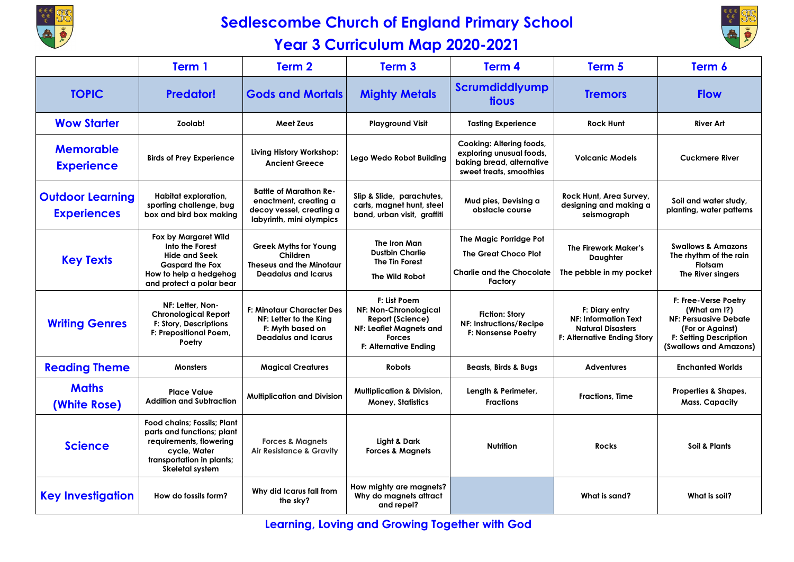

## **Sedlescombe Church of England Primary School**

## **Year 3 Curriculum Map 2020-2021**



|                                               | Term 1                                                                                                                                                      | Term <sub>2</sub>                                                                                              | Term <sub>3</sub>                                                                                                                            | Term 4                                                                                                       | Term 5                                                                                                          | Term 6                                                                                                                                              |
|-----------------------------------------------|-------------------------------------------------------------------------------------------------------------------------------------------------------------|----------------------------------------------------------------------------------------------------------------|----------------------------------------------------------------------------------------------------------------------------------------------|--------------------------------------------------------------------------------------------------------------|-----------------------------------------------------------------------------------------------------------------|-----------------------------------------------------------------------------------------------------------------------------------------------------|
| <b>TOPIC</b>                                  | <b>Predator!</b>                                                                                                                                            | <b>Gods and Mortals</b>                                                                                        | <b>Mighty Metals</b>                                                                                                                         | Scrumdiddlyump<br>tious                                                                                      | <b>Tremors</b>                                                                                                  | <b>Flow</b>                                                                                                                                         |
| <b>Wow Starter</b>                            | Zoolab!                                                                                                                                                     | <b>Meet Zeus</b>                                                                                               | <b>Playground Visit</b>                                                                                                                      | <b>Tasting Experience</b>                                                                                    | <b>Rock Hunt</b>                                                                                                | <b>River Art</b>                                                                                                                                    |
| <b>Memorable</b><br><b>Experience</b>         | <b>Birds of Prey Experience</b>                                                                                                                             | Living History Workshop:<br><b>Ancient Greece</b>                                                              | Lego Wedo Robot Building                                                                                                                     | Cooking: Altering foods,<br>exploring unusual foods,<br>baking bread, alternative<br>sweet treats, smoothies | <b>Volcanic Models</b>                                                                                          | <b>Cuckmere River</b>                                                                                                                               |
| <b>Outdoor Learning</b><br><b>Experiences</b> | Habitat exploration,<br>sporting challenge, bug<br>box and bird box making                                                                                  | <b>Battle of Marathon Re-</b><br>enactment, creating a<br>decoy vessel, creating a<br>labyrinth, mini olympics | Slip & Slide, parachutes,<br>carts, magnet hunt, steel<br>band, urban visit, graffiti                                                        | Mud pies, Devising a<br>obstacle course                                                                      | Rock Hunt, Area Survey,<br>designing and making a<br>seismograph                                                | Soil and water study,<br>planting, water patterns                                                                                                   |
| <b>Key Texts</b>                              | Fox by Margaret Wild<br>Into the Forest<br><b>Hide and Seek</b><br><b>Gaspard the Fox</b><br>How to help a hedgehog<br>and protect a polar bear             | <b>Greek Myths for Young</b><br>Children<br><b>Theseus and the Minotaur</b><br><b>Deadalus and Icarus</b>      | The Iron Man<br><b>Dustbin Charlie</b><br>The Tin Forest<br><b>The Wild Robot</b>                                                            | The Magic Porridge Pot<br><b>The Great Choco Plot</b><br>Charlie and the Chocolate<br>Factory                | The Firework Maker's<br>Daughter<br>The pebble in my pocket                                                     | <b>Swallows &amp; Amazons</b><br>The rhythm of the rain<br><b>Flotsam</b><br>The River singers                                                      |
| <b>Writing Genres</b>                         | NF: Letter, Non-<br><b>Chronological Report</b><br>F: Story, Descriptions<br>F: Prepositional Poem,<br>Poetry                                               | <b>F: Minotaur Character Des</b><br>NF: Letter to the King<br>F: Myth based on<br><b>Deadalus and Icarus</b>   | F: List Poem<br><b>NF: Non-Chronological</b><br>Report (Science)<br>NF: Leaflet Magnets and<br><b>Forces</b><br><b>F: Alternative Ending</b> | <b>Fiction: Story</b><br><b>NF: Instructions/Recipe</b><br>F: Nonsense Poetry                                | F: Diary entry<br><b>NF: Information Text</b><br><b>Natural Disasters</b><br><b>F: Alternative Ending Story</b> | F: Free-Verse Poetry<br>(What am I?)<br><b>NF: Persuasive Debate</b><br>(For or Against)<br><b>F: Setting Description</b><br>(Swallows and Amazons) |
| <b>Reading Theme</b>                          | <b>Monsters</b>                                                                                                                                             | <b>Magical Creatures</b>                                                                                       | <b>Robots</b>                                                                                                                                | <b>Beasts, Birds &amp; Bugs</b>                                                                              | <b>Adventures</b>                                                                                               | <b>Enchanted Worlds</b>                                                                                                                             |
| <b>Maths</b><br>(White Rose)                  | <b>Place Value</b><br><b>Addition and Subtraction</b>                                                                                                       | <b>Multiplication and Division</b>                                                                             | <b>Multiplication &amp; Division,</b><br><b>Money, Statistics</b>                                                                            | Length & Perimeter,<br><b>Fractions</b>                                                                      | <b>Fractions, Time</b>                                                                                          | Properties & Shapes,<br><b>Mass, Capacity</b>                                                                                                       |
| <b>Science</b>                                | <b>Food chains: Fossils: Plant</b><br>parts and functions; plant<br>requirements, flowering<br>cycle, Water<br>transportation in plants;<br>Skeletal system | <b>Forces &amp; Magnets</b><br><b>Air Resistance &amp; Gravity</b>                                             | Light & Dark<br><b>Forces &amp; Magnets</b>                                                                                                  | <b>Nutrition</b>                                                                                             | Rocks                                                                                                           | Soil & Plants                                                                                                                                       |
| <b>Key Investigation</b>                      | How do fossils form?                                                                                                                                        | Why did Icarus fall from<br>the sky?                                                                           | How mighty are magnets?<br>Why do magnets attract<br>and repel?                                                                              |                                                                                                              | What is sand?                                                                                                   | What is soil?                                                                                                                                       |

**Learning, Loving and Growing Together with God**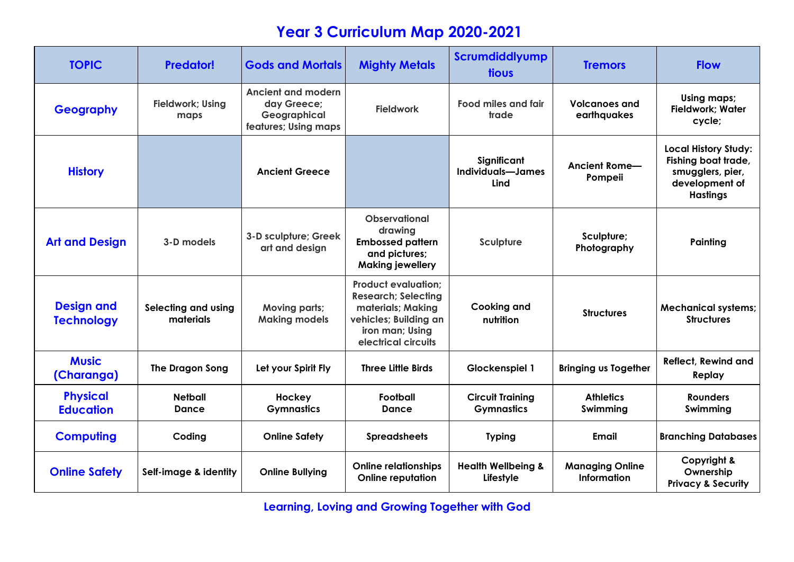## **Year 3 Curriculum Map 2020-2021**

| <b>TOPIC</b>                           | <b>Predator!</b>                 | <b>Gods and Mortals</b>                                                          | <b>Mighty Metals</b>                                                                                                                             | Scrumdiddlyump<br>tious                      | <b>Tremors</b>                               | <b>Flow</b>                                                                                                 |
|----------------------------------------|----------------------------------|----------------------------------------------------------------------------------|--------------------------------------------------------------------------------------------------------------------------------------------------|----------------------------------------------|----------------------------------------------|-------------------------------------------------------------------------------------------------------------|
| <b>Geography</b>                       | <b>Fieldwork; Using</b><br>maps  | <b>Ancient and modern</b><br>day Greece;<br>Geographical<br>features; Using maps | <b>Fieldwork</b>                                                                                                                                 | <b>Food miles and fair</b><br>trade          | <b>Volcanoes and</b><br>earthquakes          | Using maps;<br><b>Fieldwork; Water</b><br>cycle;                                                            |
| <b>History</b>                         |                                  | <b>Ancient Greece</b>                                                            |                                                                                                                                                  | Significant<br>Individuals-James<br>Lind     | Ancient Rome-<br>Pompeii                     | <b>Local History Study:</b><br>Fishing boat trade,<br>smugglers, pier,<br>development of<br><b>Hastings</b> |
| <b>Art and Design</b>                  | 3-D models                       | 3-D sculpture; Greek<br>art and design                                           | <b>Observational</b><br>drawing<br><b>Embossed pattern</b><br>and pictures;<br><b>Making jewellery</b>                                           | Sculpture                                    | Sculpture;<br>Photography                    | Painting                                                                                                    |
| <b>Design and</b><br><b>Technology</b> | Selecting and using<br>materials | <b>Moving parts;</b><br><b>Making models</b>                                     | <b>Product evaluation:</b><br><b>Research; Selecting</b><br>materials; Making<br>vehicles; Building an<br>iron man; Using<br>electrical circuits | <b>Cooking and</b><br>nutrition              | <b>Structures</b>                            | <b>Mechanical systems;</b><br><b>Structures</b>                                                             |
| <b>Music</b><br>(Charanga)             | <b>The Dragon Song</b>           | Let your Spirit Fly                                                              | <b>Three Little Birds</b>                                                                                                                        | Glockenspiel 1                               | <b>Bringing us Together</b>                  | <b>Reflect, Rewind and</b><br>Replay                                                                        |
| <b>Physical</b><br><b>Education</b>    | <b>Netball</b><br>Dance          | Hockey<br><b>Gymnastics</b>                                                      | Football<br>Dance                                                                                                                                | <b>Circuit Training</b><br><b>Gymnastics</b> | <b>Athletics</b><br>Swimming                 | <b>Rounders</b><br>Swimming                                                                                 |
| <b>Computing</b>                       | Coding                           | <b>Online Safety</b>                                                             | <b>Spreadsheets</b>                                                                                                                              | <b>Typing</b>                                | Email                                        | <b>Branching Databases</b>                                                                                  |
| <b>Online Safety</b>                   | Self-image & identity            | <b>Online Bullying</b>                                                           | <b>Online relationships</b><br><b>Online reputation</b>                                                                                          | <b>Health Wellbeing &amp;</b><br>Lifestyle   | <b>Managing Online</b><br><b>Information</b> | Copyright &<br>Ownership<br><b>Privacy &amp; Security</b>                                                   |

**Learning, Loving and Growing Together with God**